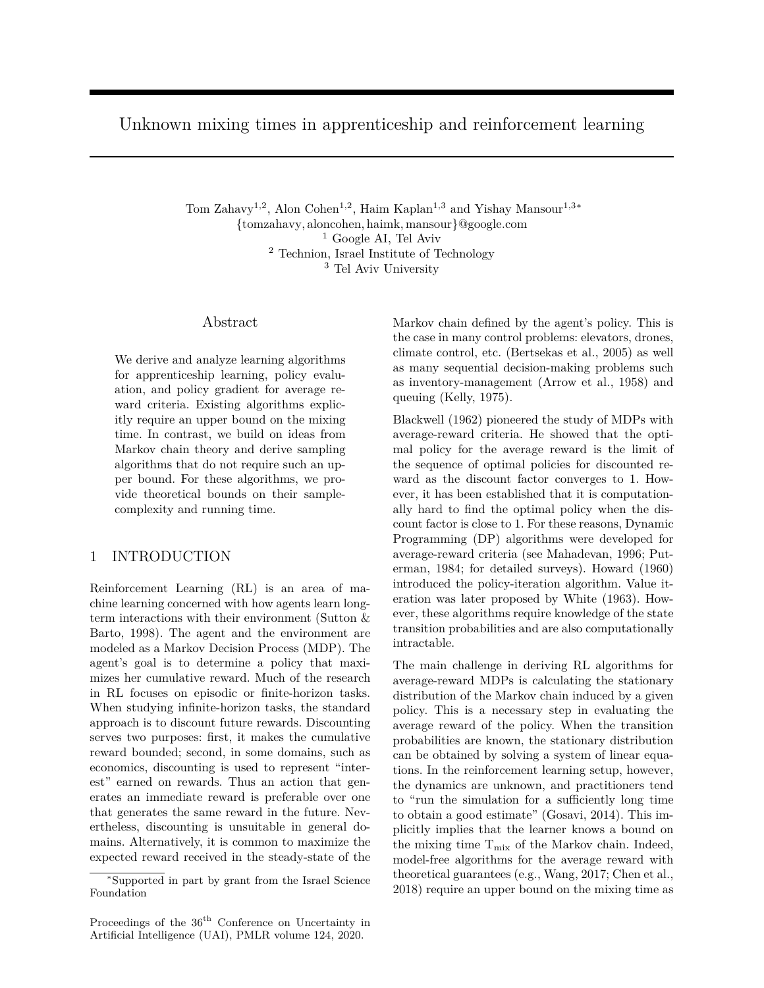Unknown mixing times in apprenticeship and reinforcement learning

Tom Zahavy<sup>1,2</sup>, Alon Cohen<sup>1,2</sup>, Haim Kaplan<sup>1,3</sup> and Yishay Mansour<sup>1,3∗</sup> {tomzahavy, aloncohen, haimk, mansour}@google.com <sup>1</sup> Google AI, Tel Aviv <sup>2</sup> Technion, Israel Institute of Technology <sup>3</sup> Tel Aviv University

# Abstract

We derive and analyze learning algorithms for apprenticeship learning, policy evaluation, and policy gradient for average reward criteria. Existing algorithms explicitly require an upper bound on the mixing time. In contrast, we build on ideas from Markov chain theory and derive sampling algorithms that do not require such an upper bound. For these algorithms, we provide theoretical bounds on their samplecomplexity and running time.

# 1 INTRODUCTION

Reinforcement Learning (RL) is an area of machine learning concerned with how agents learn longterm interactions with their environment (Sutton & Barto, 1998). The agent and the environment are modeled as a Markov Decision Process (MDP). The agent's goal is to determine a policy that maximizes her cumulative reward. Much of the research in RL focuses on episodic or finite-horizon tasks. When studying infinite-horizon tasks, the standard approach is to discount future rewards. Discounting serves two purposes: first, it makes the cumulative reward bounded; second, in some domains, such as economics, discounting is used to represent "interest" earned on rewards. Thus an action that generates an immediate reward is preferable over one that generates the same reward in the future. Nevertheless, discounting is unsuitable in general domains. Alternatively, it is common to maximize the expected reward received in the steady-state of the Markov chain defined by the agent's policy. This is the case in many control problems: elevators, drones, climate control, etc. (Bertsekas et al., 2005) as well as many sequential decision-making problems such as inventory-management (Arrow et al., 1958) and queuing (Kelly, 1975).

Blackwell (1962) pioneered the study of MDPs with average-reward criteria. He showed that the optimal policy for the average reward is the limit of the sequence of optimal policies for discounted reward as the discount factor converges to 1. However, it has been established that it is computationally hard to find the optimal policy when the discount factor is close to 1. For these reasons, Dynamic Programming (DP) algorithms were developed for average-reward criteria (see Mahadevan, 1996; Puterman, 1984; for detailed surveys). Howard (1960) introduced the policy-iteration algorithm. Value iteration was later proposed by White (1963). However, these algorithms require knowledge of the state transition probabilities and are also computationally intractable.

The main challenge in deriving RL algorithms for average-reward MDPs is calculating the stationary distribution of the Markov chain induced by a given policy. This is a necessary step in evaluating the average reward of the policy. When the transition probabilities are known, the stationary distribution can be obtained by solving a system of linear equations. In the reinforcement learning setup, however, the dynamics are unknown, and practitioners tend to "run the simulation for a sufficiently long time to obtain a good estimate" (Gosavi, 2014). This implicitly implies that the learner knows a bound on the mixing time  $T_{mix}$  of the Markov chain. Indeed, model-free algorithms for the average reward with theoretical guarantees (e.g., Wang, 2017; Chen et al., 2018) require an upper bound on the mixing time as

<sup>∗</sup>Supported in part by grant from the Israel Science Foundation

Proceedings of the  $36<sup>th</sup>$  Conference on Uncertainty in Artificial Intelligence (UAI), PMLR volume 124, 2020.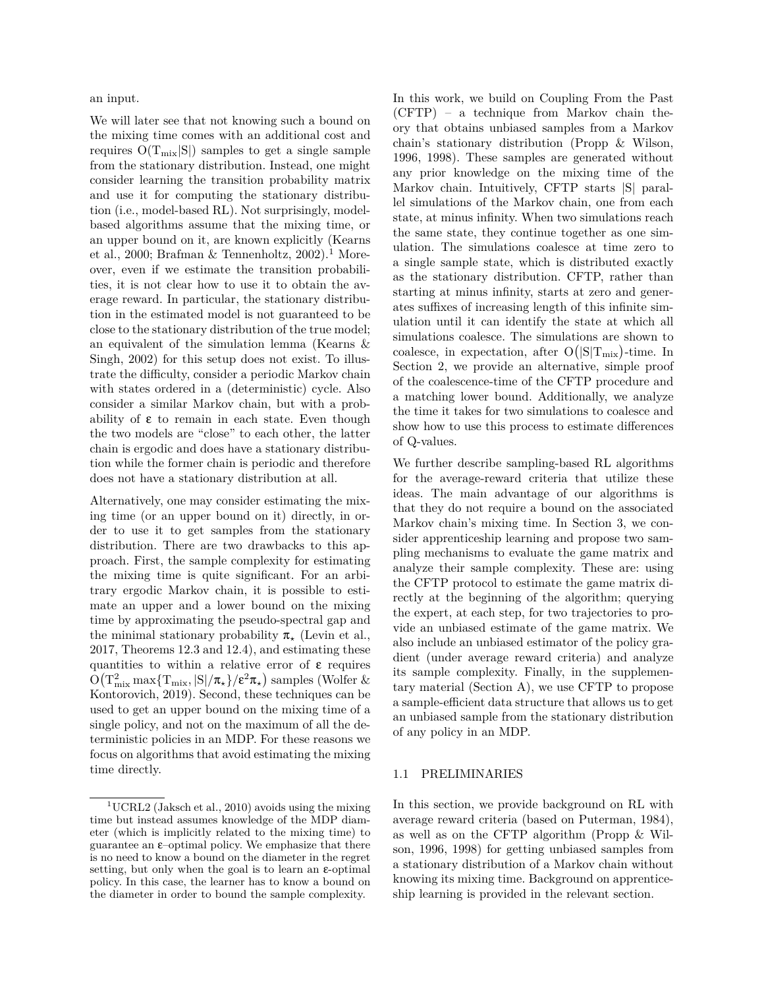an input.

We will later see that not knowing such a bound on the mixing time comes with an additional cost and requires  $O(T_{mix}|S|)$  samples to get a single sample from the stationary distribution. Instead, one might consider learning the transition probability matrix and use it for computing the stationary distribution (i.e., model-based RL). Not surprisingly, modelbased algorithms assume that the mixing time, or an upper bound on it, are known explicitly (Kearns et al., 2000; Brafman & Tennenholtz, 2002).<sup>1</sup> Moreover, even if we estimate the transition probabilities, it is not clear how to use it to obtain the average reward. In particular, the stationary distribution in the estimated model is not guaranteed to be close to the stationary distribution of the true model; an equivalent of the simulation lemma (Kearns & Singh, 2002) for this setup does not exist. To illustrate the difficulty, consider a periodic Markov chain with states ordered in a (deterministic) cycle. Also consider a similar Markov chain, but with a probability of  $\varepsilon$  to remain in each state. Even though the two models are "close" to each other, the latter chain is ergodic and does have a stationary distribution while the former chain is periodic and therefore does not have a stationary distribution at all.

Alternatively, one may consider estimating the mixing time (or an upper bound on it) directly, in order to use it to get samples from the stationary distribution. There are two drawbacks to this approach. First, the sample complexity for estimating the mixing time is quite significant. For an arbitrary ergodic Markov chain, it is possible to estimate an upper and a lower bound on the mixing time by approximating the pseudo-spectral gap and the minimal stationary probability π*<sup>⋆</sup>* (Levin et al., 2017, Theorems 12.3 and 12.4), and estimating these quantities to within a relative error of  $\varepsilon$  requires  $\rm O\big(T_{mix}^2\max\{T_{mix},|S|/\pi_\star\}/\epsilon^2\pi_\star\big)$  samples (Wolfer & Kontorovich, 2019). Second, these techniques can be used to get an upper bound on the mixing time of a single policy, and not on the maximum of all the deterministic policies in an MDP. For these reasons we focus on algorithms that avoid estimating the mixing time directly.

In this work, we build on Coupling From the Past (CFTP) – a technique from Markov chain theory that obtains unbiased samples from a Markov chain's stationary distribution (Propp & Wilson, 1996, 1998). These samples are generated without any prior knowledge on the mixing time of the Markov chain. Intuitively, CFTP starts |S| parallel simulations of the Markov chain, one from each state, at minus infinity. When two simulations reach the same state, they continue together as one simulation. The simulations coalesce at time zero to a single sample state, which is distributed exactly as the stationary distribution. CFTP, rather than starting at minus infinity, starts at zero and generates suffixes of increasing length of this infinite simulation until it can identify the state at which all simulations coalesce. The simulations are shown to coalesce, in expectation, after  $O(|S|T_{mix})$ -time. In Section 2, we provide an alternative, simple proof of the coalescence-time of the CFTP procedure and a matching lower bound. Additionally, we analyze the time it takes for two simulations to coalesce and show how to use this process to estimate differences of Q-values.

We further describe sampling-based RL algorithms for the average-reward criteria that utilize these ideas. The main advantage of our algorithms is that they do not require a bound on the associated Markov chain's mixing time. In Section 3, we consider apprenticeship learning and propose two sampling mechanisms to evaluate the game matrix and analyze their sample complexity. These are: using the CFTP protocol to estimate the game matrix directly at the beginning of the algorithm; querying the expert, at each step, for two trajectories to provide an unbiased estimate of the game matrix. We also include an unbiased estimator of the policy gradient (under average reward criteria) and analyze its sample complexity. Finally, in the supplementary material (Section A), we use CFTP to propose a sample-efficient data structure that allows us to get an unbiased sample from the stationary distribution of any policy in an MDP.

### 1.1 PRELIMINARIES

In this section, we provide background on RL with average reward criteria (based on Puterman, 1984), as well as on the CFTP algorithm (Propp & Wilson, 1996, 1998) for getting unbiased samples from a stationary distribution of a Markov chain without knowing its mixing time. Background on apprenticeship learning is provided in the relevant section.

<sup>&</sup>lt;sup>1</sup>UCRL2 (Jaksch et al., 2010) avoids using the mixing time but instead assumes knowledge of the MDP diameter (which is implicitly related to the mixing time) to guarantee an  $\varepsilon$ -optimal policy. We emphasize that there is no need to know a bound on the diameter in the regret setting, but only when the goal is to learn an  $\varepsilon$ -optimal policy. In this case, the learner has to know a bound on the diameter in order to bound the sample complexity.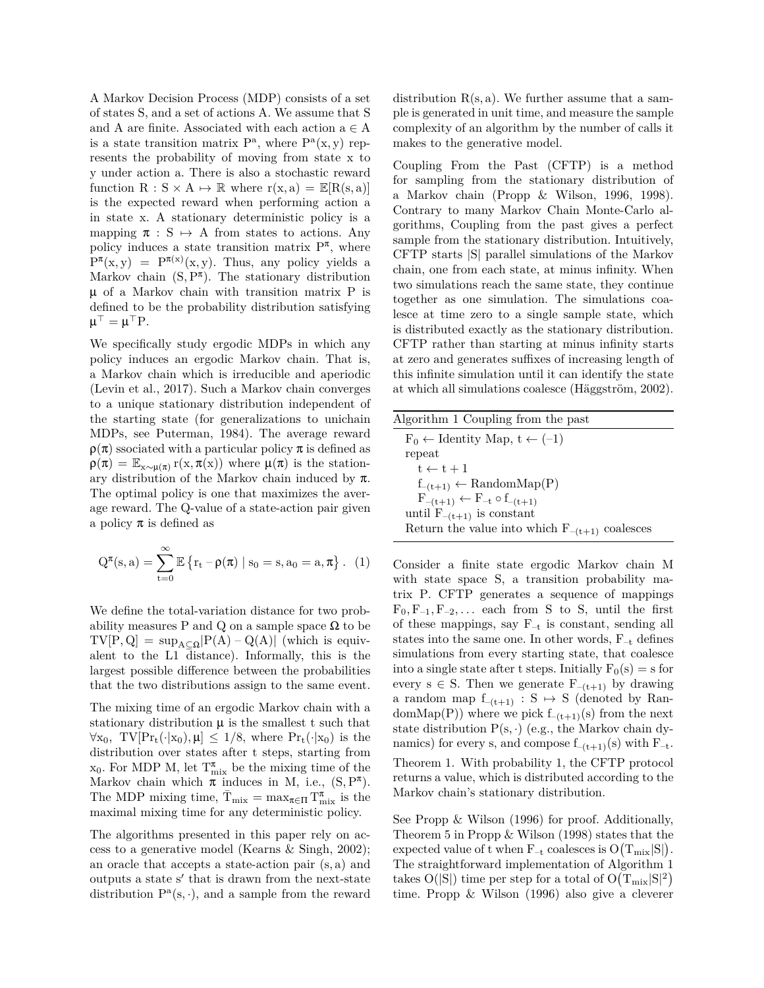A Markov Decision Process (MDP) consists of a set of states S, and a set of actions A. We assume that S and A are finite. Associated with each action a *∈* A is a state transition matrix  $P^a$ , where  $P^a(x, y)$  represents the probability of moving from state x to y under action a. There is also a stochastic reward function  $R : S \times A \mapsto \mathbb{R}$  where  $r(x, a) = \mathbb{E}[R(s, a)]$ is the expected reward when performing action a in state x. A stationary deterministic policy is a mapping  $\pi : S \mapsto A$  from states to actions. Any policy induces a state transition matrix  $P^{\pi}$ , where  $P^{\pi}(x, y) = P^{\pi(x)}(x, y)$ . Thus, any policy yields a Markov chain  $(S, P^{\pi})$ . The stationary distribution µ of a Markov chain with transition matrix P is defined to be the probability distribution satisfying  $\mu^{\top} = \mu^{\top} P.$ 

We specifically study ergodic MDPs in which any policy induces an ergodic Markov chain. That is, a Markov chain which is irreducible and aperiodic (Levin et al., 2017). Such a Markov chain converges to a unique stationary distribution independent of the starting state (for generalizations to unichain MDPs, see Puterman, 1984). The average reward  $\rho(\pi)$  ssociated with a particular policy  $\pi$  is defined as  $\rho(\pi) = \mathbb{E}_{x \sim \mu(\pi)} r(x, \pi(x))$  where  $\mu(\pi)$  is the stationary distribution of the Markov chain induced by π. The optimal policy is one that maximizes the average reward. The Q-value of a state-action pair given a policy  $\pi$  is defined as

$$
Q^{\pi}(s,a) = \sum_{t=0}^{\infty} \mathbb{E}\left\{r_t - \rho(\pi) \mid s_0 = s, a_0 = a, \pi\right\}. \tag{1}
$$

We define the total-variation distance for two probability measures P and Q on a sample space  $\Omega$  to be  $TV[P,Q] = \sup_{A \subset \Omega} |P(A) - Q(A)|$  (which is equivalent to the L1 distance). Informally, this is the largest possible difference between the probabilities that the two distributions assign to the same event.

The mixing time of an ergodic Markov chain with a stationary distribution  $\mu$  is the smallest t such that  $\forall x_0$ , TV $[\Pr_t(\cdot|x_0), \mu] \leq 1/8$ , where  $\Pr_t(\cdot|x_0)$  is the distribution over states after t steps, starting from  $x_0$ . For MDP M, let  $T_{mix}^{\pi}$  be the mixing time of the Markov chain which  $\pi$  induces in M, i.e.,  $(S, P^{\pi})$ . The MDP mixing time,  $\bar{T}_{mix} = \max_{\pi \in \Pi} T_{mix}^{\pi}$  is the maximal mixing time for any deterministic policy.

The algorithms presented in this paper rely on access to a generative model (Kearns & Singh, 2002); an oracle that accepts a state-action pair (s, a) and outputs a state s*′* that is drawn from the next-state distribution  $P^a(s, \cdot)$ , and a sample from the reward distribution  $R(s, a)$ . We further assume that a sample is generated in unit time, and measure the sample complexity of an algorithm by the number of calls it makes to the generative model.

Coupling From the Past (CFTP) is a method for sampling from the stationary distribution of a Markov chain (Propp & Wilson, 1996, 1998). Contrary to many Markov Chain Monte-Carlo algorithms, Coupling from the past gives a perfect sample from the stationary distribution. Intuitively, CFTP starts |S| parallel simulations of the Markov chain, one from each state, at minus infinity. When two simulations reach the same state, they continue together as one simulation. The simulations coalesce at time zero to a single sample state, which is distributed exactly as the stationary distribution. CFTP rather than starting at minus infinity starts at zero and generates suffixes of increasing length of this infinite simulation until it can identify the state at which all simulations coalesce (Häggström, 2002).

| Algorithm 1 Coupling from the past                 |
|----------------------------------------------------|
| $F_0 \leftarrow$ Identity Map, $t \leftarrow (-1)$ |
| repeat                                             |
| $t \leftarrow t + 1$                               |
| $f_{-(t+1)} \leftarrow \text{RandomMap}(P)$        |
| $F_{-(t+1)} \leftarrow F_{-t} \circ f_{-(t+1)}$    |
| until $F_{-(t+1)}$ is constant                     |
| Return the value into which $F_{-(t+1)}$ coalesces |
|                                                    |

Consider a finite state ergodic Markov chain M with state space S, a transition probability matrix P. CFTP generates a sequence of mappings  $F_0, F_{-1}, F_{-2}, \ldots$  each from S to S, until the first of these mappings, say  $F_{-t}$  is constant, sending all states into the same one. In other words,  $F_{-t}$  defines simulations from every starting state, that coalesce into a single state after t steps. Initially  $F_0(s) = s$  for every  $s \in S$ . Then we generate  $F_{-(t+1)}$  by drawing a random map  $f_{-(t+1)} : S \rightarrow S$  (denoted by Random $\text{Map}(P)$ ) where we pick  $f_{-(t+1)}(s)$  from the next state distribution  $P(s, \cdot)$  (e.g., the Markov chain dynamics) for every s, and compose  $f_{-(t+1)}(s)$  with  $F_{-t}$ . Theorem 1. With probability 1, the CFTP protocol returns a value, which is distributed according to the Markov chain's stationary distribution.

See Propp & Wilson (1996) for proof. Additionally, Theorem 5 in Propp & Wilson (1998) states that the expected value of t when  $F_{-t}$  coalesces is  $O(T_{mix}|S|)$ . The straightforward implementation of Algorithm 1 takes O(|S|) time per step for a total of  $O(T_{\mathrm{mix}}|S|^2)$ time. Propp & Wilson (1996) also give a cleverer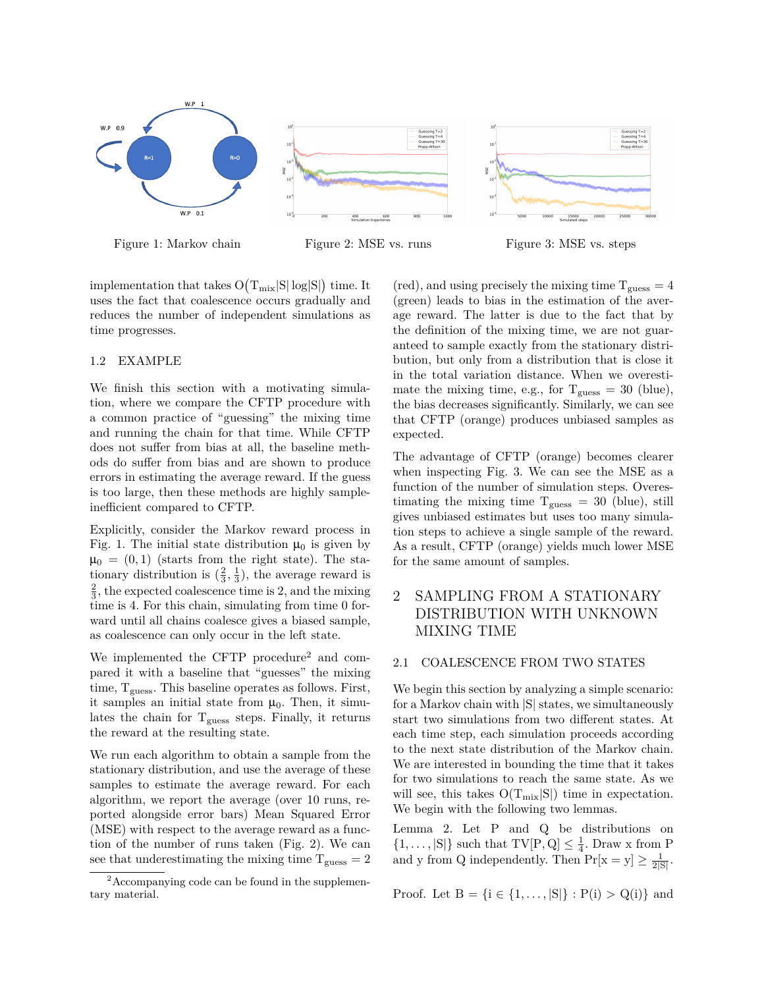





implementation that takes  $O(T_{mix}|S|\log|S|)$  time. It uses the fact that coalescence occurs gradually and reduces the number of independent simulations as time progresses.

ήğ

### 1.2 EXAMPLE

We finish this section with a motivating simulation, where we compare the CFTP procedure with a common practice of "guessing" the mixing time and running the chain for that time. While CFTP does not suffer from bias at all, the baseline methods do suffer from bias and are shown to produce errors in estimating the average reward. If the guess is too large, then these methods are highly sampleinefficient compared to CFTP.

Explicitly, consider the Markov reward process in Fig. 1. The initial state distribution  $\mu_0$  is given by  $\mu_0 = (0, 1)$  (starts from the right state). The stationary distribution is  $(\frac{2}{3}, \frac{1}{3})$ , the average reward is  $\frac{2}{3}$ , the expected coalescence time is 2, and the mixing time is 4. For this chain, simulating from time 0 forward until all chains coalesce gives a biased sample, as coalescence can only occur in the left state.

We implemented the CFTP procedure<sup>2</sup> and compared it with a baseline that "guesses" the mixing time,  $T_{\text{guess}}$ . This baseline operates as follows. First, it samples an initial state from  $\mu_0$ . Then, it simulates the chain for  $T_{\text{guess}}$  steps. Finally, it returns the reward at the resulting state.

We run each algorithm to obtain a sample from the stationary distribution, and use the average of these samples to estimate the average reward. For each algorithm, we report the average (over 10 runs, reported alongside error bars) Mean Squared Error (MSE) with respect to the average reward as a function of the number of runs taken (Fig. 2). We can see that underestimating the mixing time  $T_{guess} = 2$ 

 $(\text{red})$ , and using precisely the mixing time  $T_{\text{guess}} = 4$ (green) leads to bias in the estimation of the average reward. The latter is due to the fact that by the definition of the mixing time, we are not guaranteed to sample exactly from the stationary distribution, but only from a distribution that is close it in the total variation distance. When we overestimate the mixing time, e.g., for  $T_{\text{guess}} = 30$  (blue), the bias decreases significantly. Similarly, we can see that CFTP (orange) produces unbiased samples as expected.

The advantage of CFTP (orange) becomes clearer when inspecting Fig. 3. We can see the MSE as a function of the number of simulation steps. Overestimating the mixing time  $T_{\text{guess}} = 30$  (blue), still gives unbiased estimates but uses too many simulation steps to achieve a single sample of the reward. As a result, CFTP (orange) yields much lower MSE for the same amount of samples.

# 2 SAMPLING FROM A STATIONARY DISTRIBUTION WITH UNKNOWN MIXING TIME

#### 2.1 COALESCENCE FROM TWO STATES

We begin this section by analyzing a simple scenario: for a Markov chain with |S| states, we simultaneously start two simulations from two different states. At each time step, each simulation proceeds according to the next state distribution of the Markov chain. We are interested in bounding the time that it takes for two simulations to reach the same state. As we will see, this takes  $O(T_{mix}|S|)$  time in expectation. We begin with the following two lemmas.

Lemma 2. Let P and Q be distributions on  $\{1, \ldots, |S|\}$  such that  $TV[P, Q] \leq \frac{1}{4}$ . Draw x from P and y from Q independently. Then  $Pr[x = y] \ge \frac{1}{2|S|}$ .

Proof. Let  $B = \{i \in \{1, ..., |S|\} : P(i) > Q(i)\}\$  and

<sup>2</sup>Accompanying code can be found in the supplementary material.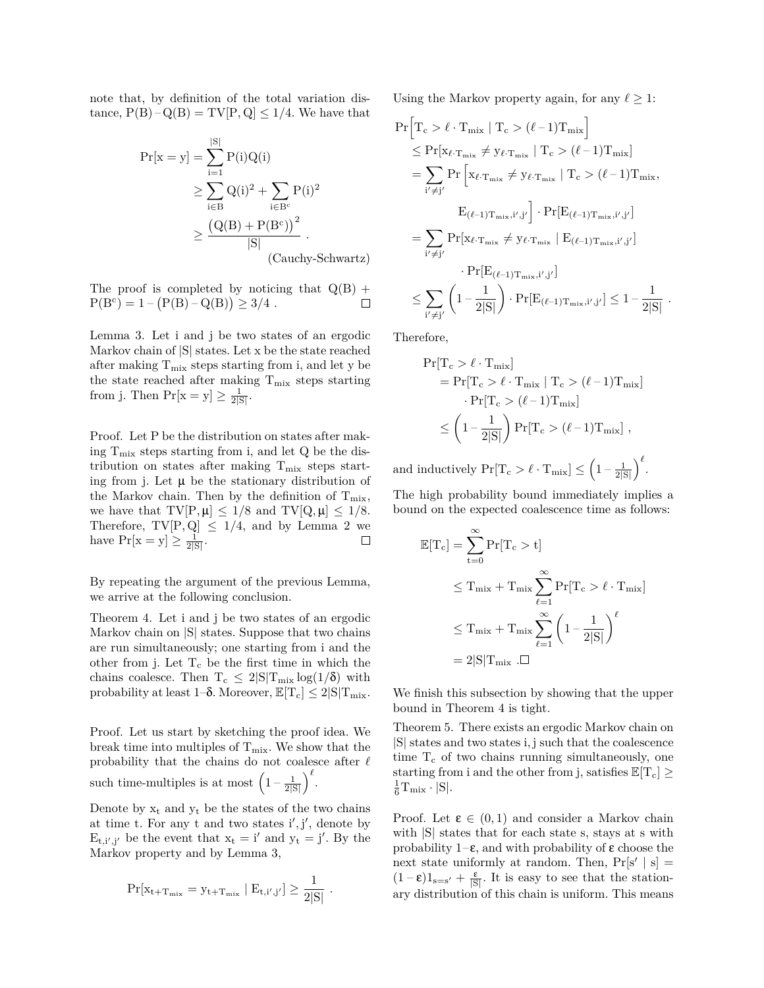note that, by definition of the total variation distance,  $P(B) - Q(B) = TV[P, Q] \le 1/4$ . We have that

$$
Pr[x = y] = \sum_{i=1}^{|S|} P(i)Q(i)
$$
  
\n
$$
\geq \sum_{i \in B} Q(i)^{2} + \sum_{i \in B^{c}} P(i)^{2}
$$
  
\n
$$
\geq \frac{(Q(B) + P(B^{c}))^{2}}{|S|}.
$$
  
\n(Cauchy-Schwartz)

The proof is completed by noticing that  $Q(B)$  +  $P(B<sup>c</sup>) = 1 - (P(B) - Q(B)) \ge 3/4$ .  $\Box$ 

Lemma 3. Let i and j be two states of an ergodic Markov chain of |S| states. Let x be the state reached after making  $T_{mix}$  steps starting from i, and let y be the state reached after making  $T_{mix}$  steps starting from j. Then  $Pr[x = y] \ge \frac{1}{2|S|}$ .

Proof. Let P be the distribution on states after making  $T_{\text{mix}}$  steps starting from i, and let Q be the distribution on states after making  $\rm T_{mix}$  steps starting from j. Let  $\mu$  be the stationary distribution of the Markov chain. Then by the definition of  $T_{mix}$ , we have that  $TV[P, \mu] \leq 1/8$  and  $TV[Q, \mu] \leq 1/8$ . Therefore,  $TV[P,Q] \leq 1/4$ , and by Lemma 2 we have  $Pr[x = y] > \frac{1}{2^{101}}$ . have  $Pr[x = y] \ge \frac{1}{2|S|}$ .

By repeating the argument of the previous Lemma, we arrive at the following conclusion.

Theorem 4. Let i and j be two states of an ergodic Markov chain on |S| states. Suppose that two chains are run simultaneously; one starting from i and the other from j. Let  $T_c$  be the first time in which the chains coalesce. Then  $T_c \leq 2|S|T_{mix}\log(1/\delta)$  with probability at least  $1-\delta$ . Moreover,  $\mathbb{E}[T_c] \leq 2|S|T_{mix}$ .

Proof. Let us start by sketching the proof idea. We break time into multiples of  $T_{mix}$ . We show that the probability that the chains do not coalesce after  $\ell$ such time-multiples is at most  $\left(1 - \frac{1}{2|S|}\right)^{\ell}$ .

Denote by  $x_t$  and  $y_t$  be the states of the two chains at time t. For any t and two states i*′* , j*′* , denote by  $E_{t,i',j'}$  be the event that  $x_t = i'$  and  $y_t = j'$ . By the Markov property and by Lemma 3,

$$
\Pr[x_{t+T_{\rm mix}} = y_{t+T_{\rm mix}} \mid E_{t,i',j'}] \geq \frac{1}{2|S|} \ .
$$

Using the Markov property again, for any  $\ell \geq 1$ :

$$
Pr\left[T_c > \ell \cdot T_{mix} \mid T_c > (\ell - 1)T_{mix}\right]
$$
  
\n
$$
\leq Pr[x_{\ell \cdot T_{mix}} \neq y_{\ell \cdot T_{mix}} \mid T_c > (\ell - 1)T_{mix}]
$$
  
\n
$$
= \sum_{i' \neq j'} Pr\left[x_{\ell \cdot T_{mix}} \neq y_{\ell \cdot T_{mix}} \mid T_c > (\ell - 1)T_{mix},
$$
  
\n
$$
E_{(\ell-1)T_{mix},i',j'}\right] \cdot Pr[E_{(\ell-1)T_{mix},i',j'}]
$$
  
\n
$$
= \sum_{i' \neq j'} Pr[x_{\ell \cdot T_{mix}} \neq y_{\ell \cdot T_{mix}} \mid E_{(\ell-1)T_{mix},i',j'}]
$$
  
\n
$$
\leq \sum_{i' \neq j'} \left(1 - \frac{1}{2|S|}\right) \cdot Pr[E_{(\ell-1)T_{mix},i',j'}] \leq 1 - \frac{1}{2|S|}.
$$

Therefore,

$$
\begin{aligned} \Pr[T_c > \ell \cdot T_{mix}] \\ &= \Pr[T_c > \ell \cdot T_{mix} \mid T_c > (\ell-1)T_{mix}] \\ &\cdot \Pr[T_c > (\ell-1)T_{mix}] \\ &\leq \left(1-\frac{1}{2|S|}\right) \Pr[T_c > (\ell-1)T_{mix}] \ , \end{aligned}
$$

and inductively  $Pr[T_c > \ell \cdot T_{\text{mix}}] \leq \left(1 - \frac{1}{2|S|}\right)^{\ell}$ .

The high probability bound immediately implies a bound on the expected coalescence time as follows:

$$
\mathbb{E}[T_c] = \sum_{t=0}^{\infty} Pr[T_c > t]
$$
  
\n
$$
\leq T_{mix} + T_{mix} \sum_{\ell=1}^{\infty} Pr[T_c > \ell \cdot T_{mix}]
$$
  
\n
$$
\leq T_{mix} + T_{mix} \sum_{\ell=1}^{\infty} \left(1 - \frac{1}{2|S|}\right)^{\ell}
$$
  
\n
$$
= 2|S|T_{mix} \cdot \Box
$$

We finish this subsection by showing that the upper bound in Theorem 4 is tight.

Theorem 5. There exists an ergodic Markov chain on |S| states and two states i, j such that the coalescence time  $T_c$  of two chains running simultaneously, one starting from i and the other from j, satisfies  $\mathbb{E}[T_c] \geq$  $\frac{1}{6}T_{\rm mix}\cdot |S|.$ 

Proof. Let  $\varepsilon \in (0,1)$  and consider a Markov chain with |S| states that for each state s, stays at s with probability  $1-\epsilon$ , and with probability of  $\epsilon$  choose the next state uniformly at random. Then,  $Pr[s' | s] =$  $(1-\varepsilon)1_{s=s'} + \frac{\varepsilon}{|S|}$ . It is easy to see that the stationary distribution of this chain is uniform. This means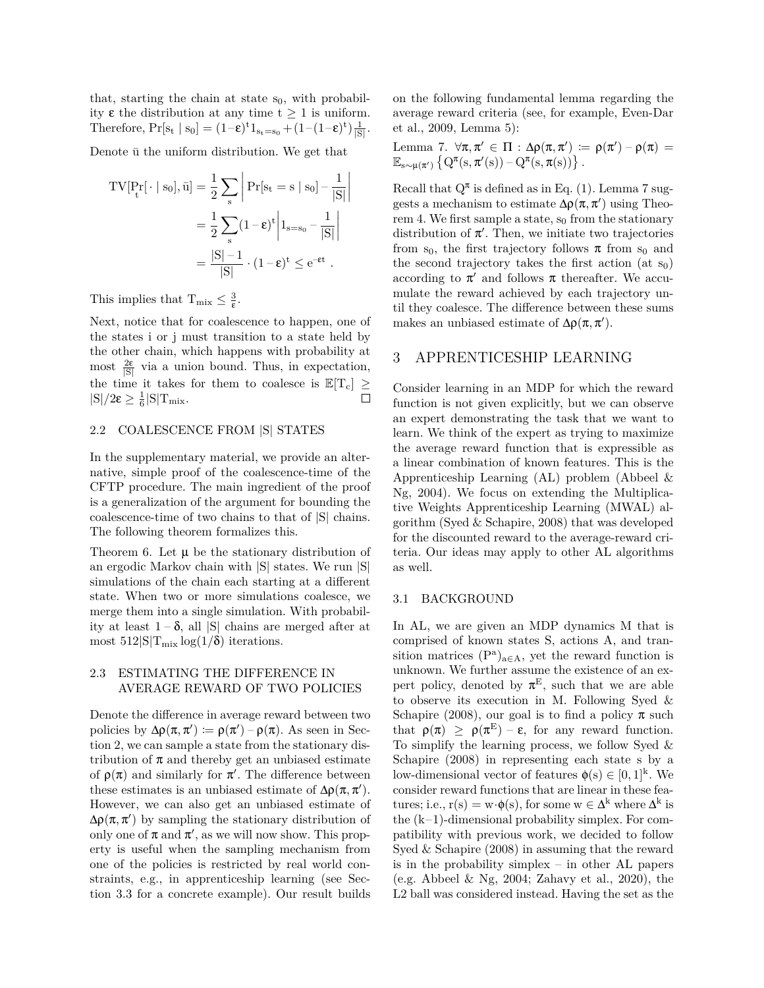that, starting the chain at state  $s_0$ , with probability ε the distribution at any time t *≥* 1 is uniform. Therefore,  $Pr[s_t | s_0] = (1-\epsilon)^t 1_{s_t=s_0} + (1-(1-\epsilon)^t) \frac{1}{|S|}$ .

Denote  $\bar{u}$  the uniform distribution. We get that

$$
TV[P_t^r[\cdot \mid s_0], \bar{u}] = \frac{1}{2} \sum_{s} \left| Pr[s_t = s \mid s_0] - \frac{1}{|S|} \right|
$$

$$
= \frac{1}{2} \sum_{s} (1 - \epsilon)^t \left| 1_{s = s_0} - \frac{1}{|S|} \right|
$$

$$
= \frac{|S| - 1}{|S|} \cdot (1 - \epsilon)^t \le e^{-\epsilon t} .
$$

This implies that  $T_{\text{mix}} \leq \frac{3}{\epsilon}$ .

Next, notice that for coalescence to happen, one of the states i or j must transition to a state held by the other chain, which happens with probability at most  $\frac{2\varepsilon}{|S|}$  via a union bound. Thus, in expectation, the time it takes for them to coalesce is  $\mathbb{E}[T_c] \ge$ <br> $\leq$ <br> $\leq$   $\frac{1}{8}$  $|S|/2\varepsilon \geq \frac{1}{6}|S|T_{mix}.$ 

#### 2.2 COALESCENCE FROM |S| STATES

In the supplementary material, we provide an alternative, simple proof of the coalescence-time of the CFTP procedure. The main ingredient of the proof is a generalization of the argument for bounding the coalescence-time of two chains to that of |S| chains. The following theorem formalizes this.

Theorem 6. Let  $\mu$  be the stationary distribution of an ergodic Markov chain with |S| states. We run |S| simulations of the chain each starting at a different state. When two or more simulations coalesce, we merge them into a single simulation. With probability at least 1 – δ, all |S| chains are merged after at most  $512|S|T_{mix}\log(1/\delta)$  iterations.

# 2.3 ESTIMATING THE DIFFERENCE IN AVERAGE REWARD OF TWO POLICIES

Denote the difference in average reward between two policies by  $\Delta \rho(\pi, \pi') \coloneqq \rho(\pi') - \rho(\pi)$ . As seen in Section 2, we can sample a state from the stationary distribution of  $\pi$  and thereby get an unbiased estimate of  $\rho(\pi)$  and similarly for  $\pi'$ . The difference between these estimates is an unbiased estimate of  $\Delta \rho(\pi, \pi')$ . However, we can also get an unbiased estimate of  $\Delta \rho(\pi, \pi')$  by sampling the stationary distribution of only one of  $\pi$  and  $\pi'$ , as we will now show. This property is useful when the sampling mechanism from one of the policies is restricted by real world constraints, e.g., in apprenticeship learning (see Section 3.3 for a concrete example). Our result builds on the following fundamental lemma regarding the average reward criteria (see, for example, Even-Dar et al., 2009, Lemma 5):

Lemma 7. ∀π, π' ∈ Π : Δρ(π, π') := ρ(π') – ρ(π) =  $\mathbb{E}_{s\sim \mu(\pi')}\left\{Q^{\pi}(s,\pi'(s))-Q^{\pi}(s,\pi(s))\right\}.$ 

Recall that  $Q^{\pi}$  is defined as in Eq. (1). Lemma 7 suggests a mechanism to estimate  $\Delta \rho(\pi, \pi')$  using Theorem 4. We first sample a state,  $s_0$  from the stationary distribution of  $\pi'$ . Then, we initiate two trajectories from s<sub>0</sub>, the first trajectory follows  $\pi$  from s<sub>0</sub> and the second trajectory takes the first action (at  $s_0$ ) according to  $\pi'$  and follows  $\pi$  thereafter. We accumulate the reward achieved by each trajectory until they coalesce. The difference between these sums makes an unbiased estimate of  $\Delta \rho(\pi, \pi')$ .

# 3 APPRENTICESHIP LEARNING

Consider learning in an MDP for which the reward function is not given explicitly, but we can observe an expert demonstrating the task that we want to learn. We think of the expert as trying to maximize the average reward function that is expressible as a linear combination of known features. This is the Apprenticeship Learning (AL) problem (Abbeel & Ng, 2004). We focus on extending the Multiplicative Weights Apprenticeship Learning (MWAL) algorithm (Syed & Schapire, 2008) that was developed for the discounted reward to the average-reward criteria. Our ideas may apply to other AL algorithms as well.

#### 3.1 BACKGROUND

In AL, we are given an MDP dynamics M that is comprised of known states S, actions A, and transition matrices (P<sup>a</sup> )<sup>a</sup>*∈*<sup>A</sup>, yet the reward function is unknown. We further assume the existence of an expert policy, denoted by  $\pi^E$ , such that we are able to observe its execution in M. Following Syed & Schapire (2008), our goal is to find a policy  $\pi$  such that  $\rho(\pi) \geq \rho(\pi^E) - \varepsilon$ , for any reward function. To simplify the learning process, we follow Syed  $\&$ Schapire (2008) in representing each state s by a low-dimensional vector of features  $\phi(s) \in [0,1]^k$ . We consider reward functions that are linear in these features; i.e.,  $r(s) = w \cdot \phi(s)$ , for some  $w \in \Delta^k$  where  $\Delta^k$  is the  $(k-1)$ -dimensional probability simplex. For compatibility with previous work, we decided to follow Syed & Schapire (2008) in assuming that the reward is in the probability simplex – in other AL papers (e.g. Abbeel & Ng, 2004; Zahavy et al., 2020), the L2 ball was considered instead. Having the set as the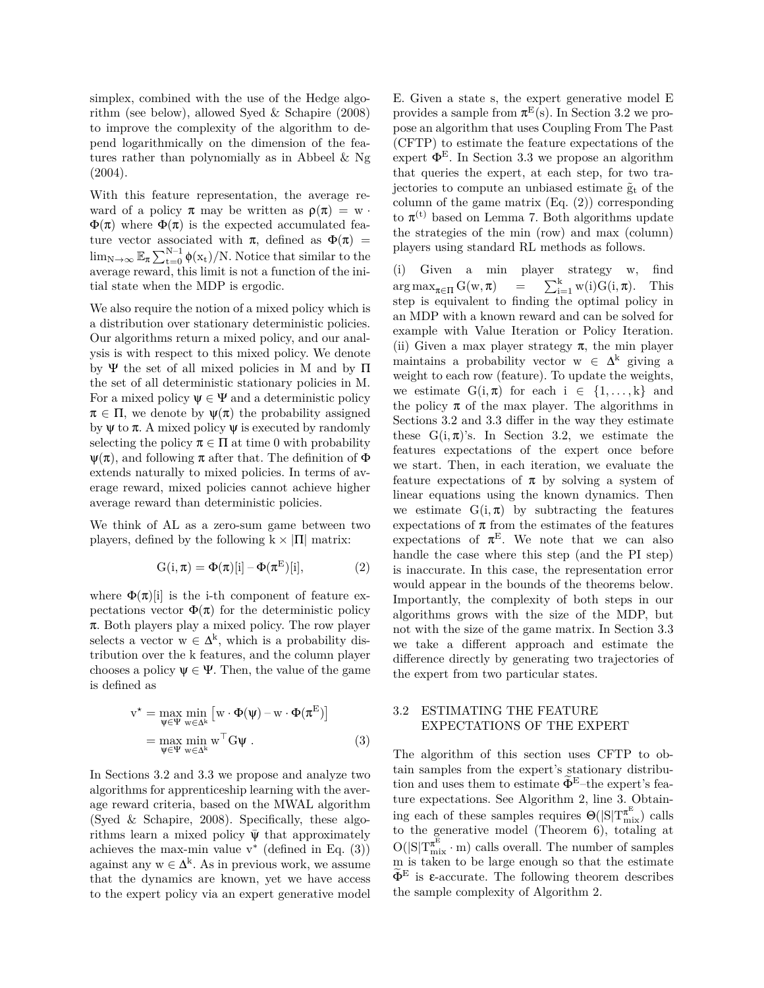simplex, combined with the use of the Hedge algorithm (see below), allowed Syed & Schapire (2008) to improve the complexity of the algorithm to depend logarithmically on the dimension of the features rather than polynomially as in Abbeel & Ng (2004).

With this feature representation, the average reward of a policy  $\pi$  may be written as  $\rho(\pi) = w$ .  $\Phi(\pi)$  where  $\Phi(\pi)$  is the expected accumulated feature vector associated with  $\pi$ , defined as  $\Phi(\pi)$  =  $\lim_{N\to\infty} \mathbb{E}_{\pi} \sum_{t=0}^{N-1} \phi(x_t) / N$ . Notice that similar to the average reward, this limit is not a function of the initial state when the MDP is ergodic.

We also require the notion of a mixed policy which is a distribution over stationary deterministic policies. Our algorithms return a mixed policy, and our analysis is with respect to this mixed policy. We denote by Ψ the set of all mixed policies in M and by  $\Pi$ the set of all deterministic stationary policies in M. For a mixed policy  $\Psi \in \Psi$  and a deterministic policy  $\pi \in \Pi$ , we denote by  $\Psi(\pi)$  the probability assigned by  $\psi$  to  $\pi$ . A mixed policy  $\psi$  is executed by randomly selecting the policy  $\pi \in \Pi$  at time 0 with probability  $\Psi(\pi)$ , and following  $\pi$  after that. The definition of  $\Phi$ extends naturally to mixed policies. In terms of average reward, mixed policies cannot achieve higher average reward than deterministic policies.

We think of AL as a zero-sum game between two players, defined by the following  $k \times |\Pi|$  matrix:

$$
G(i, \pi) = \Phi(\pi)[i] - \Phi(\pi^{E})[i], \qquad (2)
$$

where  $\Phi(\pi)[i]$  is the i-th component of feature expectations vector  $\Phi(\pi)$  for the deterministic policy  $\pi$ . Both players play a mixed policy. The row player selects a vector  $w \in \Delta^k$ , which is a probability distribution over the k features, and the column player chooses a policy  $\psi \in \Psi$ . Then, the value of the game is defined as

$$
v^* = \max_{\psi \in \Psi} \min_{w \in \Delta^k} \left[ w \cdot \Phi(\psi) - w \cdot \Phi(\pi^E) \right]
$$
  
= 
$$
\max_{\psi \in \Psi} \min_{w \in \Delta^k} w^{\top} G \psi .
$$
 (3)

In Sections 3.2 and 3.3 we propose and analyze two algorithms for apprenticeship learning with the average reward criteria, based on the MWAL algorithm (Syed & Schapire, 2008). Specifically, these algorithms learn a mixed policy  $\Psi$  that approximately achieves the max-min value  $v^*$  (defined in Eq.  $(3)$ ) against any  $w \in \Delta^k$ . As in previous work, we assume that the dynamics are known, yet we have access to the expert policy via an expert generative model E. Given a state s, the expert generative model E provides a sample from  $\pi^E(s)$ . In Section 3.2 we propose an algorithm that uses Coupling From The Past (CFTP) to estimate the feature expectations of the expert  $\Phi^E$ . In Section 3.3 we propose an algorithm that queries the expert, at each step, for two trajectories to compute an unbiased estimate  $\tilde{g}_t$  of the column of the game matrix (Eq. (2)) corresponding to  $\pi^{(t)}$  based on Lemma 7. Both algorithms update the strategies of the min (row) and max (column) players using standard RL methods as follows.

(i) Given a min player strategy w, find  $\arg \max_{\pi \in \Pi} G(w, \pi) = \sum_{i=1}^{k} w(i)G(i, \pi)$ . This step is equivalent to finding the optimal policy in an MDP with a known reward and can be solved for example with Value Iteration or Policy Iteration. (ii) Given a max player strategy  $\pi$ , the min player maintains a probability vector  $w \in \Delta^k$  giving a weight to each row (feature). To update the weights, we estimate  $G(i, \pi)$  for each  $i \in \{1, ..., k\}$  and the policy  $\pi$  of the max player. The algorithms in Sections 3.2 and 3.3 differ in the way they estimate these  $G(i, \pi)$ 's. In Section 3.2, we estimate the features expectations of the expert once before we start. Then, in each iteration, we evaluate the feature expectations of  $\pi$  by solving a system of linear equations using the known dynamics. Then we estimate  $G(i, \pi)$  by subtracting the features expectations of  $\pi$  from the estimates of the features expectations of  $\pi^E$ . We note that we can also handle the case where this step (and the PI step) is inaccurate. In this case, the representation error would appear in the bounds of the theorems below. Importantly, the complexity of both steps in our algorithms grows with the size of the MDP, but not with the size of the game matrix. In Section 3.3 we take a different approach and estimate the difference directly by generating two trajectories of the expert from two particular states.

### 3.2 ESTIMATING THE FEATURE EXPECTATIONS OF THE EXPERT

The algorithm of this section uses CFTP to obtain samples from the expert's stationary distribution and uses them to estimate  $\Phi^{\text{E}}$ –the expert's feature expectations. See Algorithm 2, line 3. Obtaining each of these samples requires  $\Theta(|S|T^{\pi^E}_{mix})$  calls to the generative model (Theorem 6), totaling at  $O(|S|T^{\pi^E}_{mix} \cdot m)$  calls overall. The number of samples m is taken to be large enough so that the estimate  $\Phi^E$  is  $\epsilon$ -accurate. The following theorem describes the sample complexity of Algorithm 2.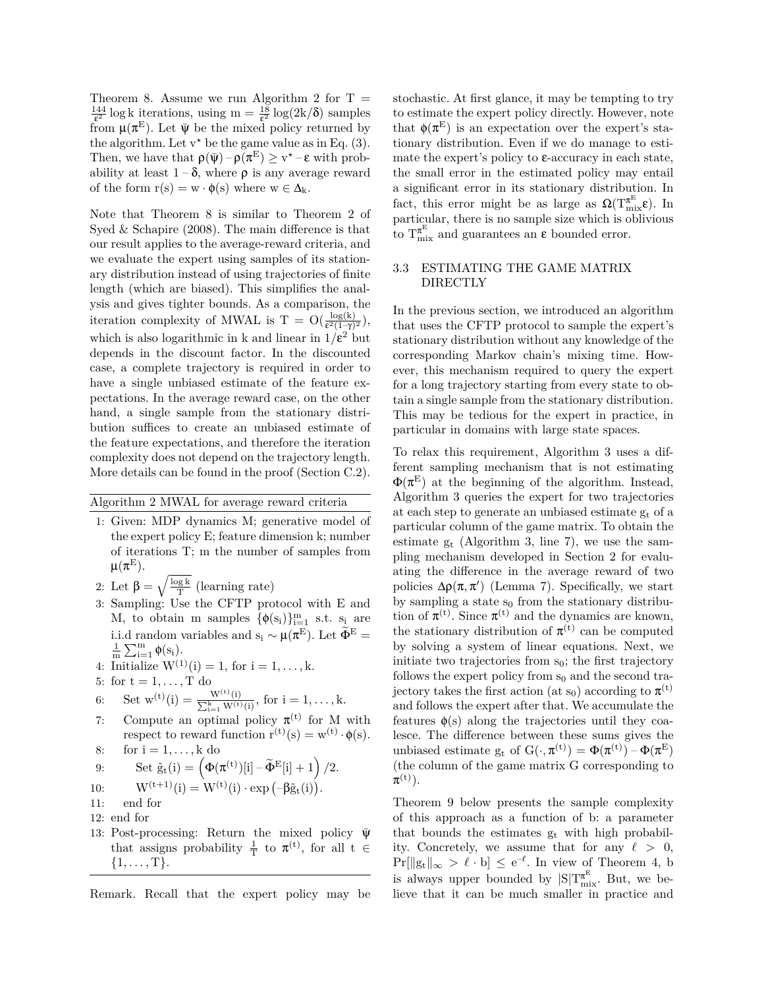Theorem 8. Assume we run Algorithm 2 for  $T =$  $\frac{144}{\epsilon^2}$  log k iterations, using m =  $\frac{18}{\epsilon^2}$  log(2k/ $\delta$ ) samples from  $\mu(\pi^E)$ . Let  $\bar{\psi}$  be the mixed policy returned by the algorithm. Let  $v^*$  be the game value as in Eq. (3). Then, we have that  $\rho(\bar{\psi}) - \rho(\pi^E) \ge v^* - \varepsilon$  with probability at least  $1-\delta$ , where  $\rho$  is any average reward of the form  $r(s) = w \cdot \phi(s)$  where  $w \in \Delta_k$ .

Note that Theorem 8 is similar to Theorem 2 of Syed & Schapire (2008). The main difference is that our result applies to the average-reward criteria, and we evaluate the expert using samples of its stationary distribution instead of using trajectories of finite length (which are biased). This simplifies the analysis and gives tighter bounds. As a comparison, the iteration complexity of MWAL is T =  $O(\frac{\log(k)}{\epsilon^2(1-\gamma)^2})$ , which is also logarithmic in k and linear in  $1/\varepsilon^2$  but depends in the discount factor. In the discounted case, a complete trajectory is required in order to have a single unbiased estimate of the feature expectations. In the average reward case, on the other hand, a single sample from the stationary distribution suffices to create an unbiased estimate of the feature expectations, and therefore the iteration complexity does not depend on the trajectory length. More details can be found in the proof (Section C.2).

Algorithm 2 MWAL for average reward criteria

- 1: Given: MDP dynamics M; generative model of the expert policy E; feature dimension k; number of iterations T; m the number of samples from  $\mu(\pi^{\text{\scriptsize E}}).$
- 2: Let  $\beta = \sqrt{\frac{\log k}{T}}$  (learning rate)
- 3: Sampling: Use the CFTP protocol with E and M, to obtain m samples  $\{\phi(s_i)\}_{i=1}^m$  s.t.  $s_i$  are i.i.d random variables and s<sub>i</sub>  $\sim \mu(\pi^E)$ . Let  $\widetilde{\Phi}^E =$  $\frac{1}{m} \sum_{i=1}^{m} \phi(s_i)$ .
- 4: Initialize  $W^{(1)}(i) = 1$ , for  $i = 1, \ldots, k$ .
- 5: for  $t = 1, \ldots, T$  do

6: Set 
$$
w^{(t)}(i) = \frac{W^{(t)}(i)}{\sum_{i=1}^{k} W^{(t)}(i)}
$$
, for  $i = 1, ..., k$ .

- 7: Compute an optimal policy  $\pi^{(t)}$  for M with respect to reward function  $r^{(t)}(s) = w^{(t)} \cdot \phi(s)$ .
- 8: for  $i = 1, \ldots, k$  do

9: Set 
$$
\tilde{g}_t(i) = \left(\Phi(\pi^{(t)})[i] - \tilde{\Phi}^{\mathrm{E}}[i] + 1\right)/2
$$
.

10: 
$$
W^{(t+1)}(i) = W^{(t)}(i) \cdot \exp(-\beta \tilde{g}_t(i)).
$$

- 11: end for
- 12: end for
- 13: Post-processing: Return the mixed policy  $\bar{\psi}$ that assigns probability  $\frac{1}{T}$  to  $\pi^{(t)}$ , for all t  $\in$  $\{1, \ldots, T\}.$

Remark. Recall that the expert policy may be

stochastic. At first glance, it may be tempting to try to estimate the expert policy directly. However, note that  $\phi(\pi^E)$  is an expectation over the expert's stationary distribution. Even if we do manage to estimate the expert's policy to  $\varepsilon$ -accuracy in each state, the small error in the estimated policy may entail a significant error in its stationary distribution. In fact, this error might be as large as  $\Omega(T^{\pi^E}_{mix}\varepsilon)$ . In particular, there is no sample size which is oblivious to  $T^{\pi^E}_{mix}$  and guarantees an  $\varepsilon$  bounded error.

## 3.3 ESTIMATING THE GAME MATRIX DIRECTLY

In the previous section, we introduced an algorithm that uses the CFTP protocol to sample the expert's stationary distribution without any knowledge of the corresponding Markov chain's mixing time. However, this mechanism required to query the expert for a long trajectory starting from every state to obtain a single sample from the stationary distribution. This may be tedious for the expert in practice, in particular in domains with large state spaces.

To relax this requirement, Algorithm 3 uses a different sampling mechanism that is not estimating  $\Phi(\pi^E)$  at the beginning of the algorithm. Instead, Algorithm 3 queries the expert for two trajectories at each step to generate an unbiased estimate  $g_t$  of a particular column of the game matrix. To obtain the estimate  $g_t$  (Algorithm 3, line 7), we use the sampling mechanism developed in Section 2 for evaluating the difference in the average reward of two policies  $\Delta \rho(\pi, \pi')$  (Lemma 7). Specifically, we start by sampling a state  $s_0$  from the stationary distribution of  $\pi^{(t)}$ . Since  $\pi^{(t)}$  and the dynamics are known, the stationary distribution of  $\pi^{(t)}$  can be computed by solving a system of linear equations. Next, we initiate two trajectories from  $s_0$ ; the first trajectory follows the expert policy from  $s_0$  and the second trajectory takes the first action (at s<sub>0</sub>) according to  $\pi$ <sup>(t)</sup> and follows the expert after that. We accumulate the features  $\phi(s)$  along the trajectories until they coalesce. The difference between these sums gives the unbiased estimate g<sub>t</sub> of  $G(\cdot, \pi^{(t)}) = \Phi(\pi^{(t)}) - \Phi(\pi^{E})$ (the column of the game matrix G corresponding to  $\pi^{(\text{t})}).$ 

Theorem 9 below presents the sample complexity of this approach as a function of b: a parameter that bounds the estimates  $g_t$  with high probability. Concretely, we assume that for any  $\ell > 0$ ,  $Pr[\Vert g_t \Vert_{\infty} > \ell \cdot b] \leq e^{-\ell}$ . In view of Theorem 4, b is always upper bounded by  $|S|T^{\pi^E}_{mix}$ . But, we believe that it can be much smaller in practice and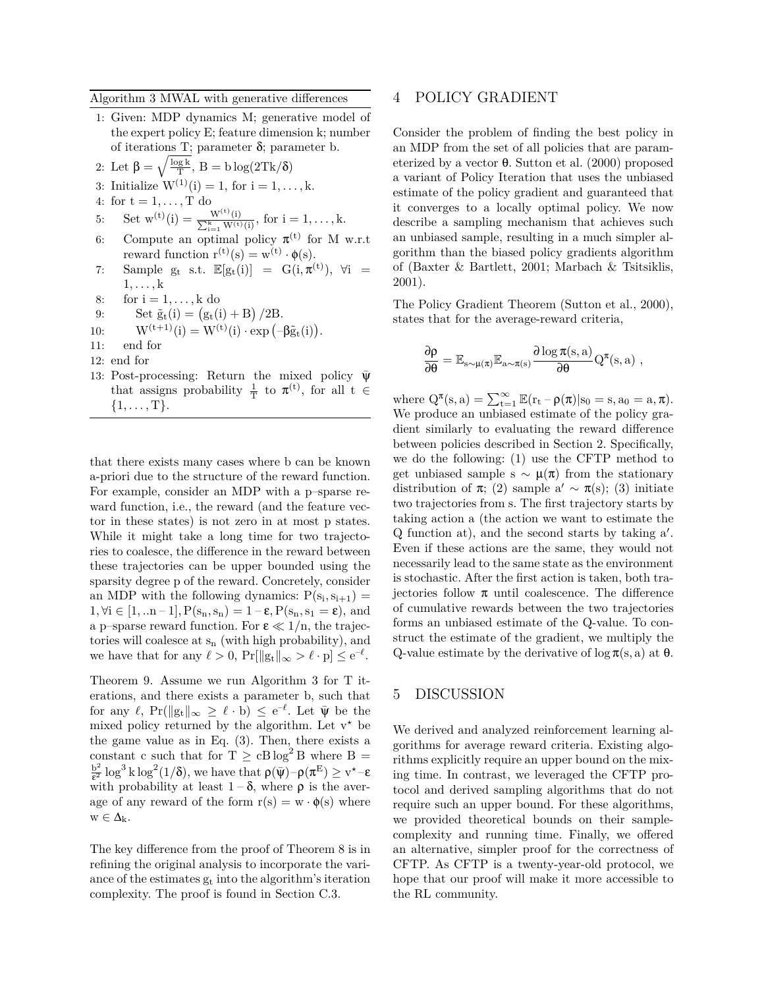### Algorithm 3 MWAL with generative differences

- 1: Given: MDP dynamics M; generative model of the expert policy E; feature dimension k; number of iterations T; parameter  $\delta$ ; parameter b.
- 2: Let  $\beta = \sqrt{\frac{\log k}{T}}$ ,  $B = b \log(2Tk/\delta)$
- 3: Initialize  $W^{(1)}(i) = 1$ , for  $i = 1, ..., k$ .
- 4: for  $t = 1, \ldots, T$  do
- 5: Set  $w^{(t)}(i) = \frac{W^{(t)}}{\sum_{i=1}^{k} W_i}$  $\frac{W^{(t)}(i)}{k}$  for  $i = 1, ..., k$ .
- 6: Compute an optimal policy  $\pi^{(t)}$  for M w.r.t reward function  $r^{(t)}(s) = w^{(t)} \cdot \phi(s)$ .
- 7: Sample  $g_t$  s.t.  $\mathbb{E}[g_t(i)] = G(i, \pi^{(t)})$ ,  $\forall i =$  $1, \ldots, k$
- 8: for  $i = 1, \ldots, k$  do
- 9: Set  $\tilde{g}_t(i) = (g_t(i) + B)/2B$ .

10: 
$$
W^{(t+1)}(i) = W^{(t)}(i) \cdot \exp(-\beta \tilde{g}_t(i)).
$$

- 11: end for
- 12: end for
- 13: Post-processing: Return the mixed policy  $\bar{\psi}$ that assigns probability  $\frac{1}{T}$  to  $\pi^{(t)}$ , for all t  $\in$  $\{1, \ldots, T\}.$

that there exists many cases where b can be known a-priori due to the structure of the reward function. For example, consider an MDP with a p–sparse reward function, i.e., the reward (and the feature vector in these states) is not zero in at most p states. While it might take a long time for two trajectories to coalesce, the difference in the reward between these trajectories can be upper bounded using the sparsity degree p of the reward. Concretely, consider an MDP with the following dynamics:  $P(s_i, s_{i+1}) =$  $1, \forall i \in [1, \ldots n-1], P(s_n, s_n) = 1 - \varepsilon, P(s_n, s_1 = \varepsilon),$  and a p–sparse reward function. For  $\varepsilon \ll 1/n$ , the trajectories will coalesce at  $s_n$  (with high probability), and we have that for any  $\ell > 0$ ,  $Pr[||g_t||_{\infty} > \ell \cdot p] \le e^{-\ell}$ .

Theorem 9. Assume we run Algorithm 3 for T iterations, and there exists a parameter b, such that for any  $\ell$ , Pr( $||g_t||_{\infty} \geq \ell \cdot b$ )  $\leq e^{-\ell}$ . Let  $\bar{\psi}$  be the mixed policy returned by the algorithm. Let  $v^*$  be the game value as in Eq. (3). Then, there exists a constant c such that for  $T \geq cB \log^2 B$  where  $B =$  $b^2$  $\frac{b^2}{\epsilon^2} \log^3 k \log^2(1/\delta)$ , we have that  $\rho(\bar{\psi}) - \rho(\pi^E) \geq v^* - \varepsilon$ with probability at least  $1-\delta$ , where  $\rho$  is the average of any reward of the form  $r(s) = w \cdot \phi(s)$  where  $w \in \Delta_k$ .

The key difference from the proof of Theorem 8 is in refining the original analysis to incorporate the variance of the estimates  $g_t$  into the algorithm's iteration complexity. The proof is found in Section C.3.

# 4 POLICY GRADIENT

Consider the problem of finding the best policy in an MDP from the set of all policies that are parameterized by a vector  $\theta$ . Sutton et al. (2000) proposed a variant of Policy Iteration that uses the unbiased estimate of the policy gradient and guaranteed that it converges to a locally optimal policy. We now describe a sampling mechanism that achieves such an unbiased sample, resulting in a much simpler algorithm than the biased policy gradients algorithm of (Baxter & Bartlett, 2001; Marbach & Tsitsiklis, 2001).

The Policy Gradient Theorem (Sutton et al., 2000), states that for the average-reward criteria,

$$
\frac{\partial \rho}{\partial \theta} = \mathbb{E}_{s \sim \mu(\pi)} \mathbb{E}_{a \sim \pi(s)} \frac{\partial \log \pi(s, a)}{\partial \theta} Q^{\pi}(s, a) ,
$$

where  $Q^{\pi}(s, a) = \sum_{t=1}^{\infty} \mathbb{E}(r_t - \rho(\pi)|s_0 = s, a_0 = a, \pi)$ . We produce an unbiased estimate of the policy gradient similarly to evaluating the reward difference between policies described in Section 2. Specifically, we do the following: (1) use the CFTP method to get unbiased sample s  $\sim \mu(\pi)$  from the stationary distribution of  $\pi$ ; (2) sample a'  $\sim \pi(s)$ ; (3) initiate two trajectories from s. The first trajectory starts by taking action a (the action we want to estimate the Q function at), and the second starts by taking a*′* . Even if these actions are the same, they would not necessarily lead to the same state as the environment is stochastic. After the first action is taken, both trajectories follow π until coalescence. The difference of cumulative rewards between the two trajectories forms an unbiased estimate of the Q-value. To construct the estimate of the gradient, we multiply the Q-value estimate by the derivative of log π(s, a) at θ.

## 5 DISCUSSION

We derived and analyzed reinforcement learning algorithms for average reward criteria. Existing algorithms explicitly require an upper bound on the mixing time. In contrast, we leveraged the CFTP protocol and derived sampling algorithms that do not require such an upper bound. For these algorithms, we provided theoretical bounds on their samplecomplexity and running time. Finally, we offered an alternative, simpler proof for the correctness of CFTP. As CFTP is a twenty-year-old protocol, we hope that our proof will make it more accessible to the RL community.